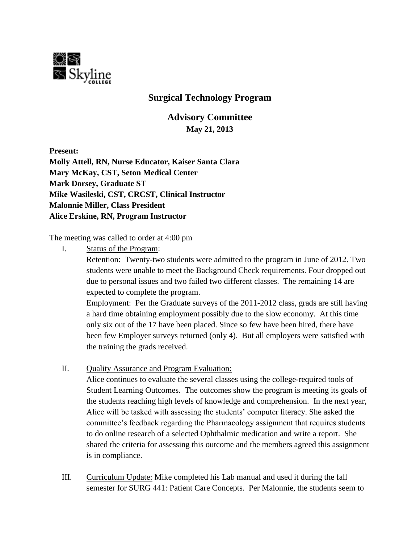

## **Surgical Technology Program**

**Advisory Committee May 21, 2013**

**Present:**

**Molly Attell, RN, Nurse Educator, Kaiser Santa Clara Mary McKay, CST, Seton Medical Center Mark Dorsey, Graduate ST Mike Wasileski, CST, CRCST, Clinical Instructor Malonnie Miller, Class President Alice Erskine, RN, Program Instructor**

The meeting was called to order at 4:00 pm

I. Status of the Program:

Retention: Twenty-two students were admitted to the program in June of 2012. Two students were unable to meet the Background Check requirements. Four dropped out due to personal issues and two failed two different classes. The remaining 14 are expected to complete the program.

Employment: Per the Graduate surveys of the 2011-2012 class, grads are still having a hard time obtaining employment possibly due to the slow economy. At this time only six out of the 17 have been placed. Since so few have been hired, there have been few Employer surveys returned (only 4). But all employers were satisfied with the training the grads received.

II. Quality Assurance and Program Evaluation:

Alice continues to evaluate the several classes using the college-required tools of Student Learning Outcomes. The outcomes show the program is meeting its goals of the students reaching high levels of knowledge and comprehension. In the next year, Alice will be tasked with assessing the students' computer literacy. She asked the committee's feedback regarding the Pharmacology assignment that requires students to do online research of a selected Ophthalmic medication and write a report. She shared the criteria for assessing this outcome and the members agreed this assignment is in compliance.

III. Curriculum Update: Mike completed his Lab manual and used it during the fall semester for SURG 441: Patient Care Concepts. Per Malonnie, the students seem to